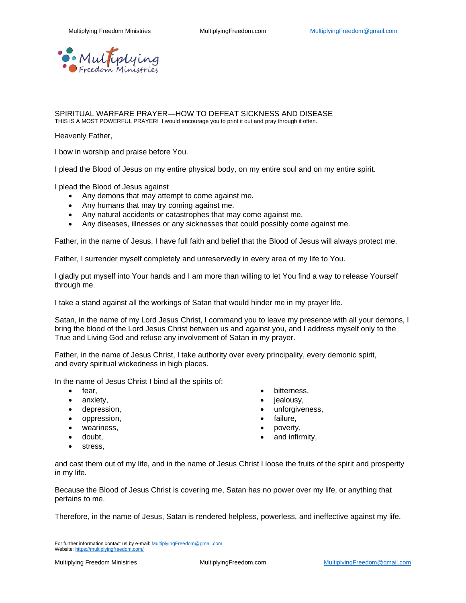

SPIRITUAL WARFARE PRAYER—HOW TO DEFEAT SICKNESS AND DISEASE THIS IS A MOST POWERFUL PRAYER! I would encourage you to print it out and pray through it often.

Heavenly Father,

I bow in worship and praise before You.

I plead the Blood of Jesus on my entire physical body, on my entire soul and on my entire spirit.

I plead the Blood of Jesus against

- Any demons that may attempt to come against me.
- Any humans that may try coming against me.
- Any natural accidents or catastrophes that may come against me.
- Any diseases, illnesses or any sicknesses that could possibly come against me.

Father, in the name of Jesus, I have full faith and belief that the Blood of Jesus will always protect me.

Father, I surrender myself completely and unreservedly in every area of my life to You.

I gladly put myself into Your hands and I am more than willing to let You find a way to release Yourself through me.

I take a stand against all the workings of Satan that would hinder me in my prayer life.

Satan, in the name of my Lord Jesus Christ, I command you to leave my presence with all your demons, I bring the blood of the Lord Jesus Christ between us and against you, and I address myself only to the True and Living God and refuse any involvement of Satan in my prayer.

Father, in the name of Jesus Christ, I take authority over every principality, every demonic spirit, and every spiritual wickedness in high places.

In the name of Jesus Christ I bind all the spirits of:

- fear,
- anxiety,
- depression,
- oppression,
- weariness,
- doubt,
- stress,
- bitterness,
- jealousy.
- unforgiveness,
- failure,
- poverty,
- and infirmity,

and cast them out of my life, and in the name of Jesus Christ I loose the fruits of the spirit and prosperity in my life.

Because the Blood of Jesus Christ is covering me, Satan has no power over my life, or anything that pertains to me.

Therefore, in the name of Jesus, Satan is rendered helpless, powerless, and ineffective against my life.

For further information contact us by e-mail[: MultiplyingFreedom@gmail.com](mailto:MultiplyingFreedom@gmail.com) Website[: https://multiplyingfreedom.com/](https://multiplyingfreedom.com/)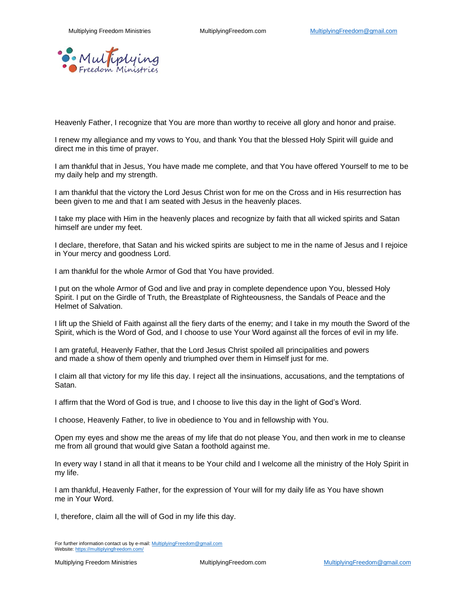

Heavenly Father, I recognize that You are more than worthy to receive all glory and honor and praise.

I renew my allegiance and my vows to You, and thank You that the blessed Holy Spirit will guide and direct me in this time of prayer.

I am thankful that in Jesus, You have made me complete, and that You have offered Yourself to me to be my daily help and my strength.

I am thankful that the victory the Lord Jesus Christ won for me on the Cross and in His resurrection has been given to me and that I am seated with Jesus in the heavenly places.

I take my place with Him in the heavenly places and recognize by faith that all wicked spirits and Satan himself are under my feet.

I declare, therefore, that Satan and his wicked spirits are subject to me in the name of Jesus and I rejoice in Your mercy and goodness Lord.

I am thankful for the whole Armor of God that You have provided.

I put on the whole Armor of God and live and pray in complete dependence upon You, blessed Holy Spirit. I put on the Girdle of Truth, the Breastplate of Righteousness, the Sandals of Peace and the Helmet of Salvation.

I lift up the Shield of Faith against all the fiery darts of the enemy; and I take in my mouth the Sword of the Spirit, which is the Word of God, and I choose to use Your Word against all the forces of evil in my life.

I am grateful, Heavenly Father, that the Lord Jesus Christ spoiled all principalities and powers and made a show of them openly and triumphed over them in Himself just for me.

I claim all that victory for my life this day. I reject all the insinuations, accusations, and the temptations of Satan.

I affirm that the Word of God is true, and I choose to live this day in the light of God's Word.

I choose, Heavenly Father, to live in obedience to You and in fellowship with You.

Open my eyes and show me the areas of my life that do not please You, and then work in me to cleanse me from all ground that would give Satan a foothold against me.

In every way I stand in all that it means to be Your child and I welcome all the ministry of the Holy Spirit in my life.

I am thankful, Heavenly Father, for the expression of Your will for my daily life as You have shown me in Your Word.

I, therefore, claim all the will of God in my life this day.

For further information contact us by e-mail[: MultiplyingFreedom@gmail.com](mailto:MultiplyingFreedom@gmail.com) Website[: https://multiplyingfreedom.com/](https://multiplyingfreedom.com/)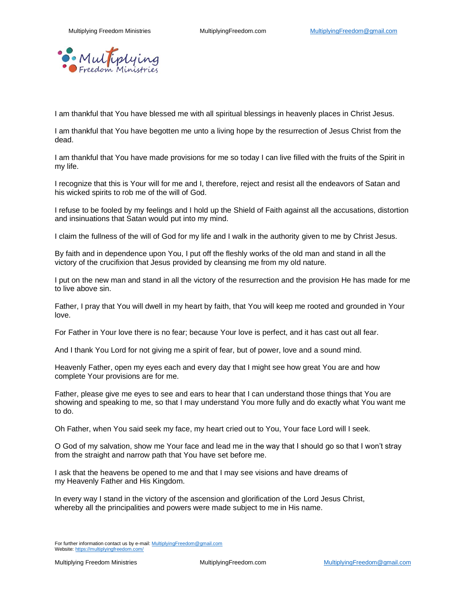

I am thankful that You have blessed me with all spiritual blessings in heavenly places in Christ Jesus.

I am thankful that You have begotten me unto a living hope by the resurrection of Jesus Christ from the dead.

I am thankful that You have made provisions for me so today I can live filled with the fruits of the Spirit in my life.

I recognize that this is Your will for me and I, therefore, reject and resist all the endeavors of Satan and his wicked spirits to rob me of the will of God.

I refuse to be fooled by my feelings and I hold up the Shield of Faith against all the accusations, distortion and insinuations that Satan would put into my mind.

I claim the fullness of the will of God for my life and I walk in the authority given to me by Christ Jesus.

By faith and in dependence upon You, I put off the fleshly works of the old man and stand in all the victory of the crucifixion that Jesus provided by cleansing me from my old nature.

I put on the new man and stand in all the victory of the resurrection and the provision He has made for me to live above sin.

Father, I pray that You will dwell in my heart by faith, that You will keep me rooted and grounded in Your love.

For Father in Your love there is no fear; because Your love is perfect, and it has cast out all fear.

And I thank You Lord for not giving me a spirit of fear, but of power, love and a sound mind.

Heavenly Father, open my eyes each and every day that I might see how great You are and how complete Your provisions are for me.

Father, please give me eyes to see and ears to hear that I can understand those things that You are showing and speaking to me, so that I may understand You more fully and do exactly what You want me to do.

Oh Father, when You said seek my face, my heart cried out to You, Your face Lord will I seek.

O God of my salvation, show me Your face and lead me in the way that I should go so that I won't stray from the straight and narrow path that You have set before me.

I ask that the heavens be opened to me and that I may see visions and have dreams of my Heavenly Father and His Kingdom.

In every way I stand in the victory of the ascension and glorification of the Lord Jesus Christ, whereby all the principalities and powers were made subject to me in His name.

For further information contact us by e-mail[: MultiplyingFreedom@gmail.com](mailto:MultiplyingFreedom@gmail.com) Website[: https://multiplyingfreedom.com/](https://multiplyingfreedom.com/)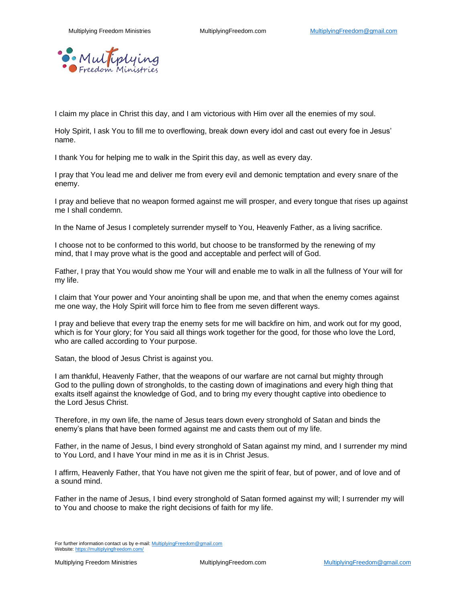

I claim my place in Christ this day, and I am victorious with Him over all the enemies of my soul.

Holy Spirit, I ask You to fill me to overflowing, break down every idol and cast out every foe in Jesus' name.

I thank You for helping me to walk in the Spirit this day, as well as every day.

I pray that You lead me and deliver me from every evil and demonic temptation and every snare of the enemy.

I pray and believe that no weapon formed against me will prosper, and every tongue that rises up against me I shall condemn.

In the Name of Jesus I completely surrender myself to You, Heavenly Father, as a living sacrifice.

I choose not to be conformed to this world, but choose to be transformed by the renewing of my mind, that I may prove what is the good and acceptable and perfect will of God.

Father, I pray that You would show me Your will and enable me to walk in all the fullness of Your will for my life.

I claim that Your power and Your anointing shall be upon me, and that when the enemy comes against me one way, the Holy Spirit will force him to flee from me seven different ways.

I pray and believe that every trap the enemy sets for me will backfire on him, and work out for my good, which is for Your glory; for You said all things work together for the good, for those who love the Lord, who are called according to Your purpose.

Satan, the blood of Jesus Christ is against you.

I am thankful, Heavenly Father, that the weapons of our warfare are not carnal but mighty through God to the pulling down of strongholds, to the casting down of imaginations and every high thing that exalts itself against the knowledge of God, and to bring my every thought captive into obedience to the Lord Jesus Christ.

Therefore, in my own life, the name of Jesus tears down every stronghold of Satan and binds the enemy's plans that have been formed against me and casts them out of my life.

Father, in the name of Jesus, I bind every stronghold of Satan against my mind, and I surrender my mind to You Lord, and I have Your mind in me as it is in Christ Jesus.

I affirm, Heavenly Father, that You have not given me the spirit of fear, but of power, and of love and of a sound mind.

Father in the name of Jesus, I bind every stronghold of Satan formed against my will; I surrender my will to You and choose to make the right decisions of faith for my life.

For further information contact us by e-mail[: MultiplyingFreedom@gmail.com](mailto:MultiplyingFreedom@gmail.com) Website[: https://multiplyingfreedom.com/](https://multiplyingfreedom.com/)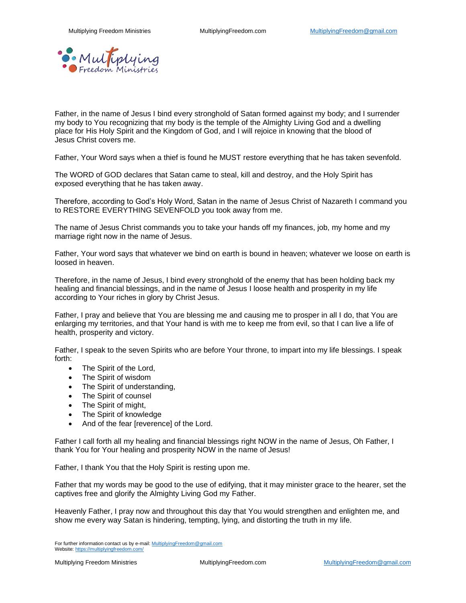

Father, in the name of Jesus I bind every stronghold of Satan formed against my body; and I surrender my body to You recognizing that my body is the temple of the Almighty Living God and a dwelling place for His Holy Spirit and the Kingdom of God, and I will rejoice in knowing that the blood of Jesus Christ covers me.

Father, Your Word says when a thief is found he MUST restore everything that he has taken sevenfold.

The WORD of GOD declares that Satan came to steal, kill and destroy, and the Holy Spirit has exposed everything that he has taken away.

Therefore, according to God's Holy Word, Satan in the name of Jesus Christ of Nazareth I command you to RESTORE EVERYTHING SEVENFOLD you took away from me.

The name of Jesus Christ commands you to take your hands off my finances, job, my home and my marriage right now in the name of Jesus.

Father, Your word says that whatever we bind on earth is bound in heaven; whatever we loose on earth is loosed in heaven.

Therefore, in the name of Jesus, I bind every stronghold of the enemy that has been holding back my healing and financial blessings, and in the name of Jesus I loose health and prosperity in my life according to Your riches in glory by Christ Jesus.

Father, I pray and believe that You are blessing me and causing me to prosper in all I do, that You are enlarging my territories, and that Your hand is with me to keep me from evil, so that I can live a life of health, prosperity and victory.

Father, I speak to the seven Spirits who are before Your throne, to impart into my life blessings. I speak forth:

- The Spirit of the Lord,
- The Spirit of wisdom
- The Spirit of understanding,
- The Spirit of counsel
- The Spirit of might,
- The Spirit of knowledge
- And of the fear [reverence] of the Lord.

Father I call forth all my healing and financial blessings right NOW in the name of Jesus, Oh Father, I thank You for Your healing and prosperity NOW in the name of Jesus!

Father, I thank You that the Holy Spirit is resting upon me.

Father that my words may be good to the use of edifying, that it may minister grace to the hearer, set the captives free and glorify the Almighty Living God my Father.

Heavenly Father, I pray now and throughout this day that You would strengthen and enlighten me, and show me every way Satan is hindering, tempting, lying, and distorting the truth in my life.

For further information contact us by e-mail[: MultiplyingFreedom@gmail.com](mailto:MultiplyingFreedom@gmail.com) Website[: https://multiplyingfreedom.com/](https://multiplyingfreedom.com/)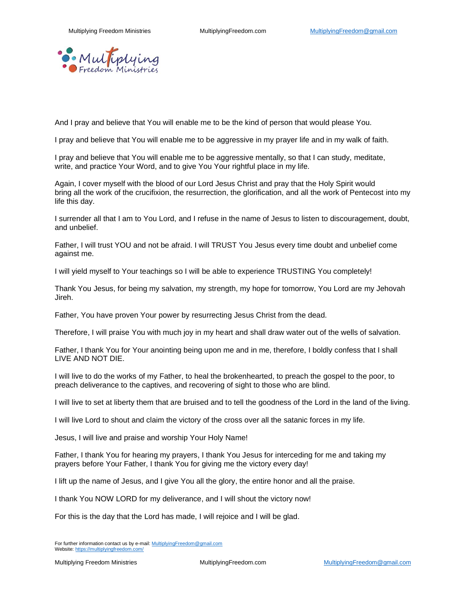

And I pray and believe that You will enable me to be the kind of person that would please You.

I pray and believe that You will enable me to be aggressive in my prayer life and in my walk of faith.

I pray and believe that You will enable me to be aggressive mentally, so that I can study, meditate, write, and practice Your Word, and to give You Your rightful place in my life.

Again, I cover myself with the blood of our Lord Jesus Christ and pray that the Holy Spirit would bring all the work of the crucifixion, the resurrection, the glorification, and all the work of Pentecost into my life this day.

I surrender all that I am to You Lord, and I refuse in the name of Jesus to listen to discouragement, doubt, and unbelief.

Father, I will trust YOU and not be afraid. I will TRUST You Jesus every time doubt and unbelief come against me.

I will yield myself to Your teachings so I will be able to experience TRUSTING You completely!

Thank You Jesus, for being my salvation, my strength, my hope for tomorrow, You Lord are my Jehovah Jireh.

Father, You have proven Your power by resurrecting Jesus Christ from the dead.

Therefore, I will praise You with much joy in my heart and shall draw water out of the wells of salvation.

Father, I thank You for Your anointing being upon me and in me, therefore, I boldly confess that I shall LIVE AND NOT DIE.

I will live to do the works of my Father, to heal the brokenhearted, to preach the gospel to the poor, to preach deliverance to the captives, and recovering of sight to those who are blind.

I will live to set at liberty them that are bruised and to tell the goodness of the Lord in the land of the living.

I will live Lord to shout and claim the victory of the cross over all the satanic forces in my life.

Jesus, I will live and praise and worship Your Holy Name!

Father, I thank You for hearing my prayers, I thank You Jesus for interceding for me and taking my prayers before Your Father, I thank You for giving me the victory every day!

I lift up the name of Jesus, and I give You all the glory, the entire honor and all the praise.

I thank You NOW LORD for my deliverance, and I will shout the victory now!

For this is the day that the Lord has made, I will rejoice and I will be glad.

For further information contact us by e-mail[: MultiplyingFreedom@gmail.com](mailto:MultiplyingFreedom@gmail.com) Website[: https://multiplyingfreedom.com/](https://multiplyingfreedom.com/)